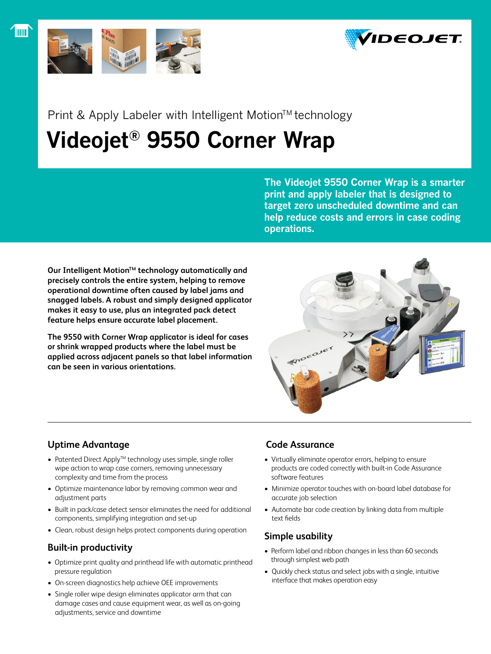



Print & Apply Labeler with Intelligent Motion™ technology

# **Videojet® 9550 Corner Wrap**

**The Videojet 9550 Corner Wrap is a smarter print and apply labeler that is designed to target zero unscheduled downtime and can help reduce costs and errors in case coding operations.**

Our Intelligent Motion<sup>™</sup> technology automatically and **precisely controls the entire system, helping to remove operational downtime often caused by label jams and snagged labels. A robust and simply designed applicator makes it easy to use, plus an integrated pack detect feature helps ensure accurate label placement.**

**The 9550 with Corner Wrap applicator is ideal for cases or shrink wrapped products where the label must be applied across adjacent panels so that label information can be seen in various orientations.**



## **Uptime Advantage**

- Patented Direct Apply™ technology uses simple, single roller wipe action to wrap case corners, removing unnecessary complexity and time from the process
- Optimize maintenance labor by removing common wear and adjustment parts
- Built in pack/case detect sensor eliminates the need for additional components, simplifying integration and set-up
- Clean, robust design helps protect components during operation

## **Built-in productivity**

- Optimize print quality and printhead life with automatic printhead pressure regulation
- On-screen diagnostics help achieve OEE improvements
- Single roller wipe design eliminates applicator arm that can damage cases and cause equipment wear, as well as on-going adjustments, service and downtime

### **Code Assurance**

- Virtually eliminate operator errors, helping to ensure products are coded correctly with built-in Code Assurance software features
- Minimize operator touches with on-board label database for accurate job selection
- Automate bar code creation by linking data from multiple text fields

## **Simple usability**

- Perform label and ribbon changes in less than 60 seconds through simplest web path
- • Quickly check status and select jobs with a single, intuitive interface that makes operation easy